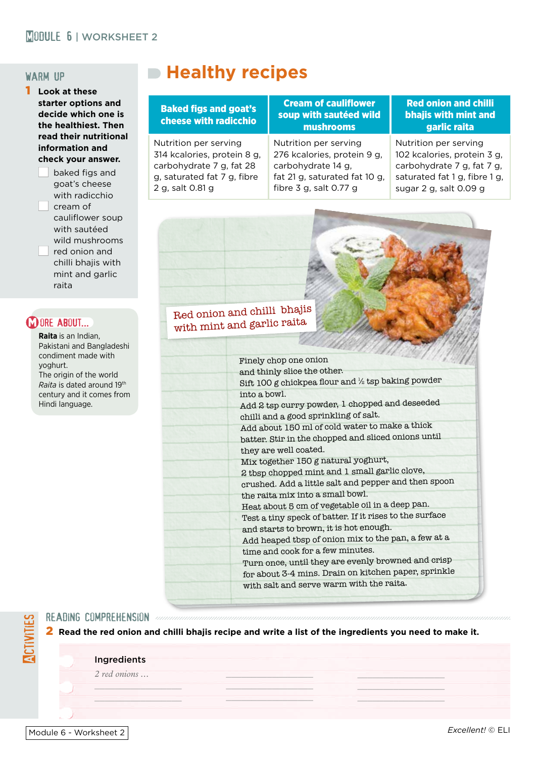### **MORULE 6 | WORKSHEET 2**

#### warm up

1 **Look at these starter options and decide which one is the healthiest. Then read their nutritional information and check your answer.**

> baked figs and goat's cheese with radicchio cream of cauliflower soup with sautéed wild mushrooms red onion and chilli bhaiis with mint and garlic raita

#### **M ORE ABOUT...**

**Raita** is an Indian, Pakistani and Bangladeshi condiment made with yoghurt. The origin of the world *Raita* is dated around 19th century and it comes from Hindi language.

# **Healthy recipes**

#### Baked figs and goat's cheese with radicchio

Nutrition per serving 314 kcalories, protein 8 g, carbohydrate 7 g, fat 28 g, saturated fat 7 g, fibre

2 g, salt 0.81 g

Cream of cauliflower soup with sautéed wild mushrooms

Nutrition per serving 276 kcalories, protein 9 g, carbohydrate 14 g, fat 21 g, saturated fat 10 g, fibre 3 g, salt 0.77 g

#### Red onion and chilli bhajis with mint and garlic raita

Nutrition per serving 102 kcalories, protein 3 g, carbohydrate 7 g, fat 7 g, saturated fat 1 g, fibre 1 g, sugar 2 g, salt 0.09 g

## Red onion and chilli bhajis with mint and garlic raita

| <b><i>CARRICAN COM</i></b>                              |
|---------------------------------------------------------|
| Finely chop one onion                                   |
| and thinly slice the other.                             |
| Sift 100 g chickpea flour and 1/2 tsp baking powder     |
| into a bowl.                                            |
| Add 2 tsp curry powder, 1 chopped and deseeded          |
| chilli and a good sprinkling of salt.                   |
| Add about 150 ml of cold water to make a thick          |
| batter. Stir in the chopped and sliced onions until     |
| they are well coated.                                   |
| Mix together 150 g natural yoghurt,                     |
| 2 tbsp chopped mint and 1 small garlic clove,           |
| crushed. Add a little salt and pepper and then spoon    |
| the raita mix into a small bowl.                        |
| Heat about 5 cm of vegetable oil in a deep pan.         |
| Test a tiny speck of batter. If it rises to the surface |
| and starts to brown, it is hot enough.                  |
| Add heaped tbsp of onion mix to the pan, a few at a     |
| time and cook for a few minutes.                        |
| Turn once, until they are evenly browned and crisp      |
| for about 3-4 mins. Drain on kitchen paper, sprinkle    |
| with salt and serve warm with the raita.                |
|                                                         |

#### reading comprehension

2 **Read the red onion and chilli bhajis recipe and write a list of the ingredients you need to make it.**

 $\mathcal{L}=\mathcal{L}$  , we have a set of the set of the set of the set of the set of the set of the set of the set of the set of the set of the set of the set of the set of the set of the set of the set of the set of the set of  $\sim$   $\sim$   $\sim$   $\sim$   $\sim$   $\sim$  $\overline{\phantom{a}}$ 

#### **Ingredients**

*2 red onions ...*

 $\sim$   $\sim$   $\sim$   $\sim$   $\sim$   $\sim$  $\mathcal{L}=\mathcal{L}=\mathcal{L}$ 

Activities

 $\mathcal{L}=\mathcal{L}$  , we have the set of the set of the set of the set of the set of the set of the set of the set of the set of the set of the set of the set of the set of the set of the set of the set of the set of the set o  $\frac{1}{\sqrt{2}}$  , where  $\frac{1}{\sqrt{2}}$  , where  $\frac{1}{\sqrt{2}}$  $\mathcal{L}=\mathcal{L}=\mathcal{L}=\mathcal{L}=\mathcal{L}=\mathcal{L}=\mathcal{L}=\mathcal{L}=\mathcal{L}$